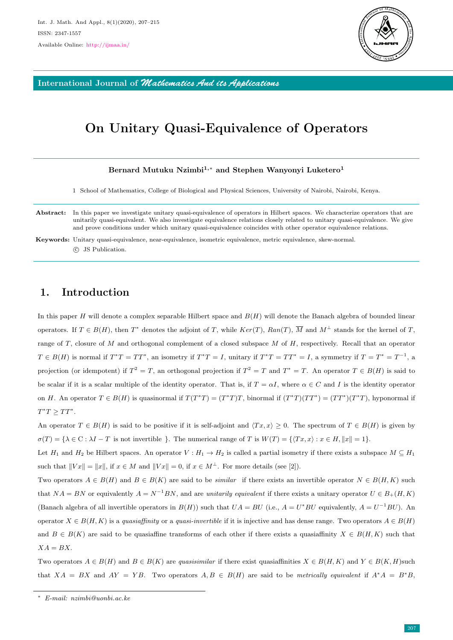

International Journal of *Mathematics And its Applications*

# On Unitary Quasi-Equivalence of Operators

### Bernard Mutuku Nzimbi<sup>1,∗</sup> and Stephen Wanyonyi Luketero<sup>1</sup>

1 School of Mathematics, College of Biological and Physical Sciences, University of Nairobi, Nairobi, Kenya.

Abstract: In this paper we investigate unitary quasi-equivalence of operators in Hilbert spaces. We characterize operators that are unitarily quasi-equivalent. We also investigate equivalence relations closely related to unitary quasi-equivalence. We give and prove conditions under which unitary quasi-equivalence coincides with other operator equivalence relations.

# 1. Introduction

In this paper  $H$  will denote a complex separable Hilbert space and  $B(H)$  will denote the Banach algebra of bounded linear operators. If  $T \in B(H)$ , then  $T^*$  denotes the adjoint of T, while  $Ker(T)$ ,  $Ran(T)$ ,  $\overline{M}$  and  $M^{\perp}$  stands for the kernel of T, range of  $T$ , closure of  $M$  and orthogonal complement of a closed subspace  $M$  of  $H$ , respectively. Recall that an operator  $T \in B(H)$  is normal if  $T^*T = TT^*$ , an isometry if  $T^*T = I$ , unitary if  $T^*T = TT^* = I$ , a symmetry if  $T = T^* = T^{-1}$ , a projection (or idempotent) if  $T^2 = T$ , an orthogonal projection if  $T^2 = T$  and  $T^* = T$ . An operator  $T \in B(H)$  is said to be scalar if it is a scalar multiple of the identity operator. That is, if  $T = \alpha I$ , where  $\alpha \in C$  and I is the identity operator on H. An operator  $T \in B(H)$  is quasinormal if  $T(T^*T) = (T^*T)T$ , binormal if  $(T^*T)(TT^*) = (TT^*)(T^*T)$ , hyponormal if  $T^*T \geq TT^*.$ 

An operator  $T \in B(H)$  is said to be positive if it is self-adjoint and  $\langle Tx, x \rangle \geq 0$ . The spectrum of  $T \in B(H)$  is given by  $\sigma(T) = \{\lambda \in \mathcal{C} : \lambda I - T \text{ is not invertible } \}.$  The numerical range of T is  $W(T) = \{T x, x\} : x \in H, \|x\| = 1\}.$ 

Let  $H_1$  and  $H_2$  be Hilbert spaces. An operator  $V : H_1 \to H_2$  is called a partial isometry if there exists a subspace  $M \subseteq H_1$ such that  $||Vx|| = ||x||$ , if  $x \in M$  and  $||Vx|| = 0$ , if  $x \in M^{\perp}$ . For more details (see [2]).

Two operators  $A \in B(H)$  and  $B \in B(K)$  are said to be *similar* if there exists an invertible operator  $N \in B(H, K)$  such that  $NA = BN$  or equivalently  $A = N^{-1}BN$ , and are unitarily equivalent if there exists a unitary operator  $U \in B_+(H, K)$ (Banach algebra of all invertible operators in  $B(H)$ ) such that  $UA = BU$  (i.e.,  $A = U^*BU$  equivalently,  $A = U^{-1}BU$ ). An operator  $X \in B(H, K)$  is a quasiaffinity or a quasi-invertible if it is injective and has dense range. Two operators  $A \in B(H)$ and  $B \in B(K)$  are said to be quasiaffine transforms of each other if there exists a quasiaffinity  $X \in B(H, K)$  such that  $XA = BX$ .

Two operators  $A \in B(H)$  and  $B \in B(K)$  are quasisimilar if there exist quasiaffinities  $X \in B(H, K)$  and  $Y \in B(K, H)$ such that  $XA = BX$  and  $AY = YB$ . Two operators  $A, B \in B(H)$  are said to be metrically equivalent if  $A^*A = B^*B$ ,

Keywords: Unitary quasi-equivalence, near-equivalence, isometric equivalence, metric equivalence, skew-normal. c JS Publication.

<sup>∗</sup> E-mail: nzimbi@uonbi.ac.ke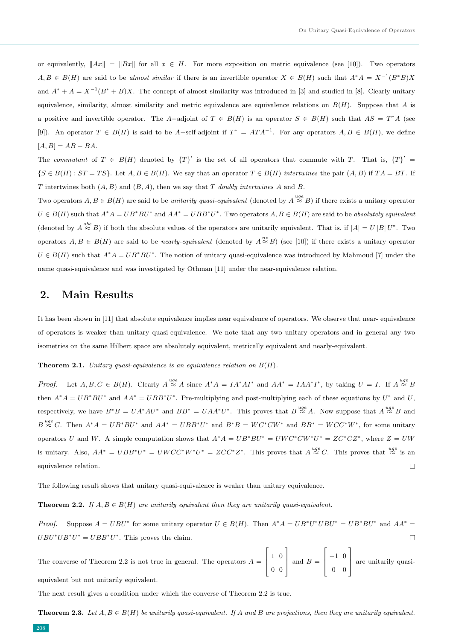or equivalently,  $||Ax|| = ||Bx||$  for all  $x \in H$ . For more exposition on metric equivalence (see [10]). Two operators  $A, B \in B(H)$  are said to be almost similar if there is an invertible operator  $X \in B(H)$  such that  $A^*A = X^{-1}(B^*B)X$ and  $A^* + A = X^{-1}(B^* + B)X$ . The concept of almost similarity was introduced in [3] and studied in [8]. Clearly unitary equivalence, similarity, almost similarity and metric equivalence are equivalence relations on  $B(H)$ . Suppose that A is a positive and invertible operator. The A-adjoint of  $T \in B(H)$  is an operator  $S \in B(H)$  such that  $AS = T^*A$  (see [9]). An operator  $T \in B(H)$  is said to be A-self-adjoint if  $T^* = A T A^{-1}$ . For any operators  $A, B \in B(H)$ , we define  $[A, B] = AB - BA.$ 

The commutant of  $T \in B(H)$  denoted by  $\{T\}'$  is the set of all operators that commute with T. That is,  $\{T\}'$  =  $\{S \in B(H) : ST = TS\}$ . Let  $A, B \in B(H)$ . We say that an operator  $T \in B(H)$  intertwines the pair  $(A, B)$  if  $TA = BT$ . If T intertwines both  $(A, B)$  and  $(B, A)$ , then we say that T doubly intertwines A and B.

Two operators  $A, B \in B(H)$  are said to be unitarily quasi-equivalent (denoted by  $A \stackrel{uqe}{\approx} B$ ) if there exists a unitary operator  $U \in B(H)$  such that  $A^*A = UB^*BU^*$  and  $AA^* = UBB^*U^*$ . Two operators  $A, B \in B(H)$  are said to be absolutely equivalent (denoted by  $A \stackrel{abe}{\approx} B$ ) if both the absolute values of the operators are unitarily equivalent. That is, if  $|A| = U |B| U^*$ . Two operators  $A, B \in B(H)$  are said to be *nearly-equivalent* (denoted by  $A \stackrel{ne}{\approx} B$ ) (see [10]) if there exists a unitary operator  $U \in B(H)$  such that  $A^*A = UB^*BU^*$ . The notion of unitary quasi-equivalence was introduced by Mahmoud [7] under the name quasi-equivalence and was investigated by Othman [11] under the near-equivalence relation.

## 2. Main Results

It has been shown in [11] that absolute equivalence implies near equivalence of operators. We observe that near- equivalence of operators is weaker than unitary quasi-equivalence. We note that any two unitary operators and in general any two isometries on the same Hilbert space are absolutely equivalent, metrically equivalent and nearly-equivalent.

#### **Theorem 2.1.** Unitary quasi-equivalence is an equivalence relation on  $B(H)$ .

*Proof.* Let  $A, B, C \in B(H)$ . Clearly  $A \stackrel{uge}{\approx} A$  since  $A^*A = IA^*A I^*$  and  $AA^* = IAA^*I^*$ , by taking  $U = I$ . If  $A \stackrel{uge}{\approx} B$ then  $A^*A = UB^*BU^*$  and  $AA^* = UBB^*U^*$ . Pre-multiplying and post-multiplying each of these equations by  $U^*$  and  $U$ , respectively, we have  $B^*B = UA^*AU^*$  and  $BB^* = UAA^*U^*$ . This proves that  $B \stackrel{uqe}{\approx} A$ . Now suppose that  $A \stackrel{uqe}{\approx} B$  and  $B \stackrel{uge}{\approx} C$ . Then  $A^*A = UB^*BU^*$  and  $AA^* = UBB^*U^*$  and  $B^*B = WC^*CW^*$  and  $BB^* = WC^*W^*$ , for some unitary operators U and W. A simple computation shows that  $A^*A = UB^*BU^* = UWC^*CW^*U^* = ZC^*CZ^*$ , where  $Z = UW$ is unitary. Also,  $AA^* = UBB^*U^* = UWCC^*W^*U^* = ZCC^*Z^*$ . This proves that  $A \stackrel{uqe}{\approx} C$ . This proves that  $\stackrel{uqe}{\approx}$  is an  $\Box$ equivalence relation.

The following result shows that unitary quasi-equivalence is weaker than unitary equivalence.

### **Theorem 2.2.** If  $A, B \in B(H)$  are unitarily equivalent then they are unitarily quasi-equivalent.

*Proof.* Suppose  $A = UBU^*$  for some unitary operator  $U \in B(H)$ . Then  $A^*A = UB^*U^*UBU^* = UB^*BU^*$  and  $AA^* =$  $UBU^*UB^*U^* = UBB^*U^*$ . This proves the claim.  $\Box$ 

The converse of Theorem 2.2 is not true in general. The operators  $A =$  $\sqrt{ }$  $\overline{\phantom{a}}$ 1 0 0 0 1  $\Big|$  and  $B =$  $\sqrt{ }$  $\overline{\phantom{a}}$ −1 0 0 0 1 are unitarily quasiequivalent but not unitarily equivalent.

The next result gives a condition under which the converse of Theorem 2.2 is true.

**Theorem 2.3.** Let  $A, B \in B(H)$  be unitarily quasi-equivalent. If A and B are projections, then they are unitarily equivalent.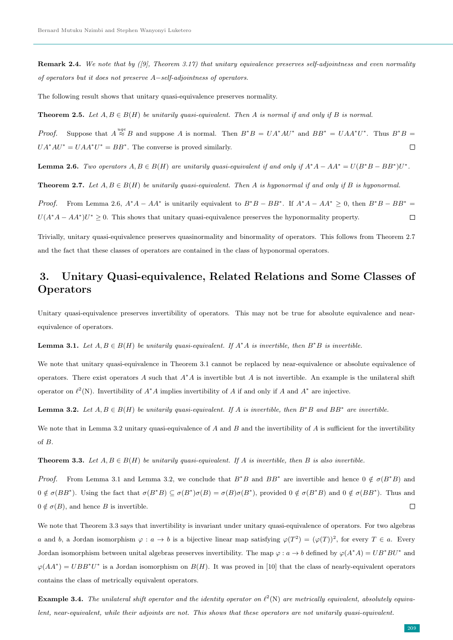**Remark 2.4.** We note that by  $(0, 0)$ , Theorem 3.17) that unitary equivalence preserves self-adjointness and even normality of operators but it does not preserve A−self-adjointness of operators.

The following result shows that unitary quasi-equivalence preserves normality.

**Theorem 2.5.** Let  $A, B \in B(H)$  be unitarily quasi-equivalent. Then A is normal if and only if B is normal.

*Proof.* Suppose that  $A \stackrel{uqe}{\approx} B$  and suppose A is normal. Then  $B^*B = UA^*AU^*$  and  $BB^* = UAA^*U^*$ . Thus  $B^*B =$  $UA^*AU^* = UAA^*U^* = BB^*$ . The converse is proved similarly.  $\Box$ 

**Lemma 2.6.** Two operators  $A, B \in B(H)$  are unitarily quasi-equivalent if and only if  $A^*A - AA^* = U(B^*B - BB^*)U^*$ .

**Theorem 2.7.** Let  $A, B \in B(H)$  be unitarily quasi-equivalent. Then A is hyponormal if and only if B is hyponormal.

*Proof.* From Lemma 2.6,  $A^*A - AA^*$  is unitarily equivalent to  $B^*B - BB^*$ . If  $A^*A - AA^* \geq 0$ , then  $B^*B - BB^* =$  $U(A^*A - AA^*)U^* \geq 0$ . This shows that unitary quasi-equivalence preserves the hyponormality property.  $\Box$ 

Trivially, unitary quasi-equivalence preserves quasinormality and binormality of operators. This follows from Theorem 2.7 and the fact that these classes of operators are contained in the class of hyponormal operators.

# 3. Unitary Quasi-equivalence, Related Relations and Some Classes of **Operators**

Unitary quasi-equivalence preserves invertibility of operators. This may not be true for absolute equivalence and nearequivalence of operators.

**Lemma 3.1.** Let  $A, B \in B(H)$  be unitarily quasi-equivalent. If  $A^*A$  is invertible, then  $B^*B$  is invertible.

We note that unitary quasi-equivalence in Theorem 3.1 cannot be replaced by near-equivalence or absolute equivalence of operators. There exist operators A such that  $A^*A$  is invertible but A is not invertible. An example is the unilateral shift operator on  $\ell^2(N)$ . Invertibility of  $A^*A$  implies invertibility of A if and only if A and  $A^*$  are injective.

**Lemma 3.2.** Let  $A, B \in B(H)$  be unitarily quasi-equivalent. If A is invertible, then  $B^*B$  and  $BB^*$  are invertible.

We note that in Lemma 3.2 unitary quasi-equivalence of  $A$  and  $B$  and the invertibility of  $A$  is sufficient for the invertibility of B.

**Theorem 3.3.** Let  $A, B \in B(H)$  be unitarily quasi-equivalent. If A is invertible, then B is also invertible.

*Proof.* From Lemma 3.1 and Lemma 3.2, we conclude that  $B^*B$  and  $BB^*$  are invertible and hence  $0 \notin \sigma(B^*B)$  and  $0 \notin \sigma(BB^*)$ . Using the fact that  $\sigma(B^*B) \subseteq \sigma(B^*)\sigma(B) = \sigma(B)\sigma(B^*)$ , provided  $0 \notin \sigma(B^*B)$  and  $0 \notin \sigma(BB^*)$ . Thus and  $\Box$  $0 \notin \sigma(B)$ , and hence B is invertible.

We note that Theorem 3.3 says that invertibility is invariant under unitary quasi-equivalence of operators. For two algebras a and b, a Jordan isomorphism  $\varphi: a \to b$  is a bijective linear map satisfying  $\varphi(T^2) = (\varphi(T))^2$ , for every  $T \in a$ . Every Jordan isomorphism between unital algebras preserves invertibility. The map  $\varphi : a \to b$  defined by  $\varphi(A^*A) = UB^*BU^*$  and  $\varphi(AA^*) = UBB^*U^*$  is a Jordan isomorphism on  $B(H)$ . It was proved in [10] that the class of nearly-equivalent operators contains the class of metrically equivalent operators.

**Example 3.4.** The unilateral shift operator and the identity operator on  $\ell^2(N)$  are metrically equivalent, absolutely equivalent, near-equivalent, while their adjoints are not. This shows that these operators are not unitarily quasi-equivalent.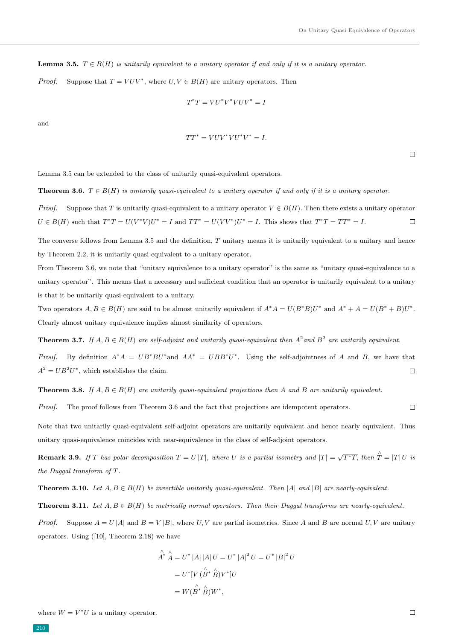**Lemma 3.5.**  $T \in B(H)$  is unitarily equivalent to a unitary operator if and only if it is a unitary operator.

*Proof.* Suppose that  $T = VUV^*$ , where  $U, V \in B(H)$  are unitary operators. Then

$$
T^{\ast}T=VU^{\ast}V^{\ast}VUV^{\ast}=I
$$

and

$$
TT^* = VUV^*VU^*V^* = I.
$$

 $\Box$ 

Lemma 3.5 can be extended to the class of unitarily quasi-equivalent operators.

**Theorem 3.6.**  $T \in B(H)$  is unitarily quasi-equivalent to a unitary operator if and only if it is a unitary operator.

*Proof.* Suppose that T is unitarily quasi-equivalent to a unitary operator  $V \in B(H)$ . Then there exists a unitary operator  $U \in B(H)$  such that  $T^*T = U(V^*V)U^* = I$  and  $TT^* = U(VV^*)U^* = I$ . This shows that  $T^*T = TT^* = I$ .  $\Box$ 

The converse follows from Lemma 3.5 and the definition, T unitary means it is unitarily equivalent to a unitary and hence by Theorem 2.2, it is unitarily quasi-equivalent to a unitary operator.

From Theorem 3.6, we note that "unitary equivalence to a unitary operator" is the same as "unitary quasi-equivalence to a unitary operator". This means that a necessary and sufficient condition that an operator is unitarily equivalent to a unitary is that it be unitarily quasi-equivalent to a unitary.

Two operators  $A, B \in B(H)$  are said to be almost unitarily equivalent if  $A^*A = U(B^*B)U^*$  and  $A^* + A = U(B^* + B)U^*$ . Clearly almost unitary equivalence implies almost similarity of operators.

**Theorem 3.7.** If  $A, B \in B(H)$  are self-adjoint and unitarily quasi-equivalent then  $A^2$  and  $B^2$  are unitarily equivalent.

*Proof.* By definition  $A^*A = UB^*BV^*$  and  $AA^* = UBB^*U^*$ . Using the self-adjointness of A and B, we have that  $A^2 = U B^2 U^*$ , which establishes the claim.  $\Box$ 

**Theorem 3.8.** If  $A, B \in B(H)$  are unitarily quasi-equivalent projections then A and B are unitarily equivalent.

Proof. The proof follows from Theorem 3.6 and the fact that projections are idempotent operators.  $\Box$ 

Note that two unitarily quasi-equivalent self-adjoint operators are unitarily equivalent and hence nearly equivalent. Thus unitary quasi-equivalence coincides with near-equivalence in the class of self-adjoint operators.

**Remark 3.9.** If T has polar decomposition  $T = U |T|$ , where U is a partial isometry and  $|T| = \sqrt{T^*T}$ , then  $\hat{T} = |T| U$  is the Duggal transform of T.

**Theorem 3.10.** Let  $A, B \in B(H)$  be invertible unitarily quasi-equivalent. Then |A| and |B| are nearly-equivalent.

**Theorem 3.11.** Let  $A, B \in B(H)$  be metrically normal operators. Then their Duggal transforms are nearly-equivalent.

*Proof.* Suppose  $A = U |A|$  and  $B = V |B|$ , where U, V are partial isometries. Since A and B are normal U, V are unitary operators. Using ([10], Theorem 2.18) we have

$$
\hat{A}^* \hat{A} = U^* |A| |A| U = U^* |A|^2 U = U^* |B|^2 U
$$

$$
= U^* [V (\hat{B}^* \hat{B}) V^*] U
$$

$$
= W (\hat{B}^* \hat{B}) W^*,
$$

where  $W = V^*U$  is a unitary operator.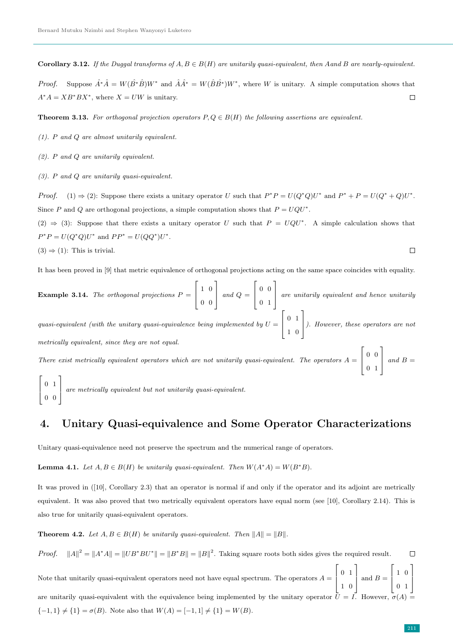Corollary 3.12. If the Duggal transforms of  $A, B \in B(H)$  are unitarily quasi-equivalent, then Aand B are nearly-equivalent.

*Proof.* Suppose  $\hat{A}^*\hat{A} = W(\hat{B}*\hat{B})W^*$  and  $\hat{A}\hat{A}^* = W(\hat{B}\hat{B}^*)W^*$ , where W is unitary. A simple computation shows that  $A^*A = XB^*BX^*$ , where  $X = UW$  is unitary.  $\Box$ 

**Theorem 3.13.** For orthogonal projection operators  $P, Q \in B(H)$  the following assertions are equivalent.

- (1). P and Q are almost unitarily equivalent.
- (2). P and Q are unitarily equivalent.
- (3). P and Q are unitarily quasi-equivalent.

*Proof.* (1)  $\Rightarrow$  (2): Suppose there exists a unitary operator U such that  $P^*P = U(Q^*Q)U^*$  and  $P^* + P = U(Q^* + Q)U^*$ . Since P and Q are orthogonal projections, a simple computation shows that  $P = UQU^*$ .

 $(2) \Rightarrow (3)$ : Suppose that there exists a unitary operator U such that  $P = UQU^*$ . A simple calculation shows that  $P^*P = U(Q^*Q)U^*$  and  $PP^* = U(QQ^*)U^*$ .

$$
(3) \Rightarrow (1):
$$
This is trivial.

It has been proved in [9] that metric equivalence of orthogonal projections acting on the same space coincides with equality.

**Example 3.14.** The orthogonal projections  $P =$  $\sqrt{ }$  $\parallel$ 1 0 0 0 1  $\Big|$  and  $Q =$  $\lceil$  $\overline{\phantom{a}}$ 0 0 0 1 1 are unitarily equivalent and hence unitarily  $\lceil$ 1

quasi-equivalent (with the unitary quasi-equivalence being implemented by  $U =$  $\overline{\phantom{a}}$ 0 1 1 0 ). However, these operators are not metrically equivalent, since they are not equal.

There exist metrically equivalent operators which are not unitarily quasi-equivalent. The operators  $A =$  $\sqrt{ }$  $\overline{\phantom{a}}$ 0 0 0 1 1  $\begin{array}{|c|c|} \hline \end{array}$  and  $B =$  $\Gamma$ 1

 $\overline{\phantom{a}}$ 0 1 0 0 are metrically equivalent but not unitarily quasi-equivalent.

# 4. Unitary Quasi-equivalence and Some Operator Characterizations

Unitary quasi-equivalence need not preserve the spectrum and the numerical range of operators.

**Lemma 4.1.** Let  $A, B \in B(H)$  be unitarily quasi-equivalent. Then  $W(A^*A) = W(B^*B)$ .

It was proved in ([10], Corollary 2.3) that an operator is normal if and only if the operator and its adjoint are metrically equivalent. It was also proved that two metrically equivalent operators have equal norm (see [10], Corollary 2.14). This is also true for unitarily quasi-equivalent operators.

**Theorem 4.2.** Let  $A, B \in B(H)$  be unitarily quasi-equivalent. Then  $||A|| = ||B||$ .

*Proof.*  $||A||^2 = ||A^*A|| = ||UB^*BU^*|| = ||B^*B|| = ||B||^2$ . Taking square roots both sides gives the required result.  $\Box$ 

Note that unitarily quasi-equivalent operators need not have equal spectrum. The operators  $A =$  $\sqrt{ }$  $\left| \right|$ 0 1 1 0 1  $\Big|$  and  $B =$  $\overline{\phantom{a}}$  $\left| \right|$ 1 0 0 1 1  $\left| \right|$ are unitarily quasi-equivalent with the equivalence being implemented by the unitary operator  $\bar{U} = I$ . However,  $\sigma(A)$  ${-1, 1} \neq {1} = \sigma(B)$ . Note also that  $W(A) = [-1, 1] \neq {1} = W(B)$ .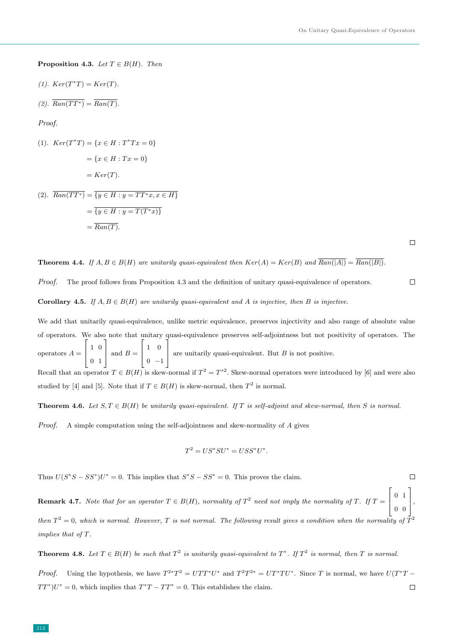**Proposition 4.3.** Let  $T \in B(H)$ . Then

$$
(1). \ Ker(T^*T) = Ker(T).
$$

$$
(2). \ \overline{Ran(TT^*)} = \overline{Ran(T)}.
$$

Proof.

(1). 
$$
Ker(T^*T) = \{x \in H : T^*Tx = 0\}
$$
  
=  $\{x \in H : Tx = 0\}$   
=  $Ker(T)$ .

(2). 
$$
\overline{Ran(TT^*)} = \overline{\{y \in H : y = TT^*x, x \in H\}}
$$

$$
= \overline{\{y \in H : y = T(T^*x)\}}
$$

$$
= \overline{Ran(T)}.
$$

 $\Box$ 

 $\Box$ 

### **Theorem 4.4.** If  $A, B \in B(H)$  are unitarily quasi-equivalent then  $Ker(A) = Ker(B)$  and  $\overline{Ran(|A|)} = \overline{Ran(|B|)}$ .

Proof. The proof follows from Proposition 4.3 and the definition of unitary quasi-equivalence of operators.  $\Box$ 

**Corollary 4.5.** If  $A, B \in B(H)$  are unitarily quasi-equivalent and A is injective, then B is injective.

We add that unitarily quasi-equivalence, unlike metric equivalence, preserves injectivity and also range of absolute value of operators. We also note that unitary quasi-equivalence preserves self-adjointness but not positivity of operators. The operators  $A =$  $\lceil$  $\mathbf{I}$ 1 0 0 1 1  $\Big|$  and  $B =$  $\sqrt{ }$  $\left| \right|$ 1 0  $0 -1$ 1 are unitarily quasi-equivalent. But  $B$  is not positive. Recall that an operator  $T \in B(H)$  is skew-normal if  $T^2 = T^{*2}$ . Skew-normal operators were introduced by [6] and were also studied by [4] and [5]. Note that if  $T \in B(H)$  is skew-normal, then  $T^2$  is normal.

**Theorem 4.6.** Let  $S, T \in B(H)$  be unitarily quasi-equivalent. If T is self-adjoint and skew-normal, then S is normal.

*Proof.* A simple computation using the self-adjointness and skew-normality of  $\tilde{A}$  gives

$$
T^2 = US^*SU^* = USS^*U^*.
$$

Thus  $U(S^*S - SS^*)U^* = 0$ . This implies that  $S^*S - SS^* = 0$ . This proves the claim.

**Remark 4.7.** Note that for an operator  $T \in B(H)$ , normality of  $T^2$  need not imply the normality of T. If  $T =$  $\sqrt{ }$  $\Big\}$ 0 1 0 0 1  $\vert$ , then  $T^2 = 0$ , which is normal. However, T is not normal. The following result gives a condition when the normality of  $T^2$ implies that of T.

**Theorem 4.8.** Let  $T \in B(H)$  be such that  $T^2$  is unitarily quasi-equivalent to  $T^*$ . If  $T^2$  is normal, then  $T$  is normal.

*Proof.* Using the hypothesis, we have  $T^{2*}T^2 = UTT^*U^*$  and  $T^2T^{2*} = UT^*TU^*$ . Since T is normal, we have  $U(T^*T - T^*)$  $TT^*$ ) $U^* = 0$ , which implies that  $T^*T - TT^* = 0$ . This establishes the claim.  $\Box$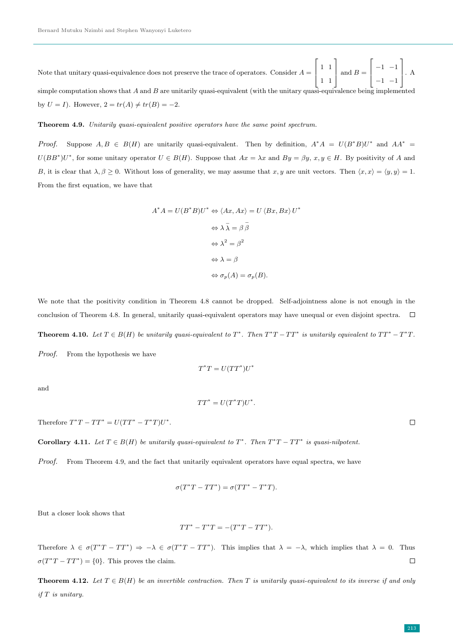Note that unitary quasi-equivalence does not preserve the trace of operators. Consider  $A =$  $\lceil$  $\overline{\phantom{a}}$ 1 1 1 1 1  $\Big|\text{ and }B=$  $\sqrt{ }$  $\overline{\phantom{a}}$  $-1$   $-1$  $-1$   $-1$ 1  $\vert \cdot A$ simple computation shows that  $A$  and  $B$  are unitarily quasi-equivalent (with the unitary quasi-equivalence being implemented by  $U = I$ ). However,  $2 = tr(A) \neq tr(B) = -2$ .

### Theorem 4.9. Unitarily quasi-equivalent positive operators have the same point spectrum.

*Proof.* Suppose  $A, B \in B(H)$  are unitarily quasi-equivalent. Then by definition,  $A^*A = U(B^*B)U^*$  and  $AA^* =$  $U(BB^*)U^*$ , for some unitary operator  $U \in B(H)$ . Suppose that  $Ax = \lambda x$  and  $By = \beta y$ ,  $x, y \in H$ . By positivity of A and B, it is clear that  $\lambda, \beta \geq 0$ . Without loss of generality, we may assume that x, y are unit vectors. Then  $\langle x, x \rangle = \langle y, y \rangle = 1$ . From the first equation, we have that

$$
A^* A = U(B^* B)U^* \Leftrightarrow \langle Ax, Ax \rangle = U \langle Bx, Bx \rangle U^*
$$

$$
\Leftrightarrow \lambda \bar{\lambda} = \beta \bar{\beta}
$$

$$
\Leftrightarrow \lambda^2 = \beta^2
$$

$$
\Leftrightarrow \lambda = \beta
$$

$$
\Leftrightarrow \sigma_p(A) = \sigma_p(B).
$$

We note that the positivity condition in Theorem 4.8 cannot be dropped. Self-adjointness alone is not enough in the conclusion of Theorem 4.8. In general, unitarily quasi-equivalent operators may have unequal or even disjoint spectra.  $\Box$ **Theorem 4.10.** Let  $T \in B(H)$  be unitarily quasi-equivalent to  $T^*$ . Then  $T^*T - TT^*$  is unitarily equivalent to  $TT^* - T^*T$ . Proof. From the hypothesis we have

$$
T^*T = U(TT^*)U^*
$$

and

$$
TT^* = U(T^*T)U^*.
$$

Therefore  $T^*T - TT^* = U(TT^* - T^*T)U^*$ .

Corollary 4.11. Let  $T \in B(H)$  be unitarily quasi-equivalent to  $T^*$ . Then  $T^*T - TT^*$  is quasi-nilpotent.

Proof. From Theorem 4.9, and the fact that unitarily equivalent operators have equal spectra, we have

$$
\sigma(T^*T - TT^*) = \sigma(TT^* - T^*T).
$$

But a closer look shows that

$$
TT^* - T^*T = -(T^*T - TT^*).
$$

Therefore  $\lambda \in \sigma(T^*T - TT^*) \Rightarrow -\lambda \in \sigma(T^*T - TT^*)$ . This implies that  $\lambda = -\lambda$ , which implies that  $\lambda = 0$ . Thus  $\sigma(T^*T - TT^*) = \{0\}.$  This proves the claim.  $\Box$ 

**Theorem 4.12.** Let  $T \in B(H)$  be an invertible contraction. Then T is unitarily quasi-equivalent to its inverse if and only if T is unitary.

 $\Box$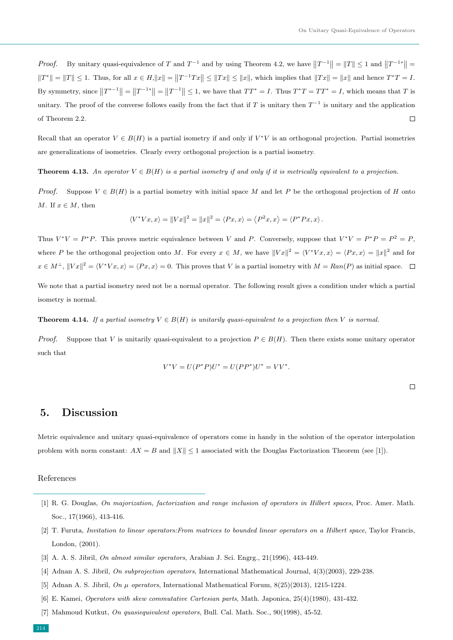*Proof.* By unitary quasi-equivalence of T and  $T^{-1}$  and by using Theorem 4.2, we have  $||T^{-1}|| = ||T|| \le 1$  and  $||T^{-1*}|| =$  $||T^*|| = ||T|| \le 1$ . Thus, for all  $x \in H$ ,  $||x|| = ||T^{-1}Tx|| \le ||Tx||$ , which implies that  $||Tx|| = ||x||$  and hence  $T^*T = I$ . By symmetry, since  $||T^{*-1}|| = ||T^{-1*}|| = ||T^{-1}|| \le 1$ , we have that  $TT^* = I$ . Thus  $T^*T = TT^* = I$ , which means that T is unitary. The proof of the converse follows easily from the fact that if T is unitary then  $T^{-1}$  is unitary and the application of Theorem 2.2.  $\Box$ 

Recall that an operator  $V \in B(H)$  is a partial isometry if and only if  $V^*V$  is an orthogonal projection. Partial isometries are generalizations of isometries. Clearly every orthogonal projection is a partial isometry.

**Theorem 4.13.** An operator  $V \in B(H)$  is a partial isometry if and only if it is metrically equivalent to a projection.

*Proof.* Suppose  $V \in B(H)$  is a partial isometry with initial space M and let P be the orthogonal projection of H onto M. If  $x \in M$ , then

$$
\langle V^*Vx, x \rangle = ||Vx||^2 = ||x||^2 = \langle Px, x \rangle = \langle P^2x, x \rangle = \langle P^*Px, x \rangle.
$$

Thus  $V^*V = P^*P$ . This proves metric equivalence between V and P. Conversely, suppose that  $V^*V = P^*P = P^2 = P$ , where P be the orthogonal projection onto M. For every  $x \in M$ , we have  $||Vx||^2 = \langle V^*Vx, x \rangle = \langle Px, x \rangle = ||x||^2$  and for  $x \in M^{\perp}, ||Vx||^2 = \langle V^*Vx, x \rangle = \langle Px, x \rangle = 0.$  This proves that V is a partial isometry with  $M = Ran(P)$  as initial space.

We note that a partial isometry need not be a normal operator. The following result gives a condition under which a partial isometry is normal.

**Theorem 4.14.** If a partial isometry  $V \in B(H)$  is unitarily quasi-equivalent to a projection then V is normal.

*Proof.* Suppose that V is unitarily quasi-equivalent to a projection  $P \in B(H)$ . Then there exists some unitary operator such that

$$
V^*V = U(P^*P)U^* = U(PP^*)U^* = VV^*.
$$

 $\Box$ 

## 5. Discussion

Metric equivalence and unitary quasi-equivalence of operators come in handy in the solution of the operator interpolation problem with norm constant:  $AX = B$  and  $||X|| \leq 1$  associated with the Douglas Factorization Theorem (see [1]).

### References

- [1] R. G. Douglas, On majorization, factorization and range inclusion of operators in Hilbert spaces, Proc. Amer. Math. Soc., 17(1966), 413-416.
- [2] T. Furuta, Invitation to linear operators:From matrices to bounded linear operators on a Hilbert space, Taylor Francis, London, (2001).
- [3] A. A. S. Jibril, *On almost similar operators*, Arabian J. Sci. Engrg., 21(1996), 443-449.
- [4] Adnan A. S. Jibril, On subprojection operators, International Mathematical Journal, 4(3)(2003), 229-238.
- [5] Adnan A. S. Jibril, On  $\mu$  operators, International Mathematical Forum, 8(25)(2013), 1215-1224.
- [6] E. Kamei, Operators with skew commutative Cartesian parts, Math. Japonica, 25(4)(1980), 431-432.
- [7] Mahmoud Kutkut, On quasiequivalent operators, Bull. Cal. Math. Soc., 90(1998), 45-52.